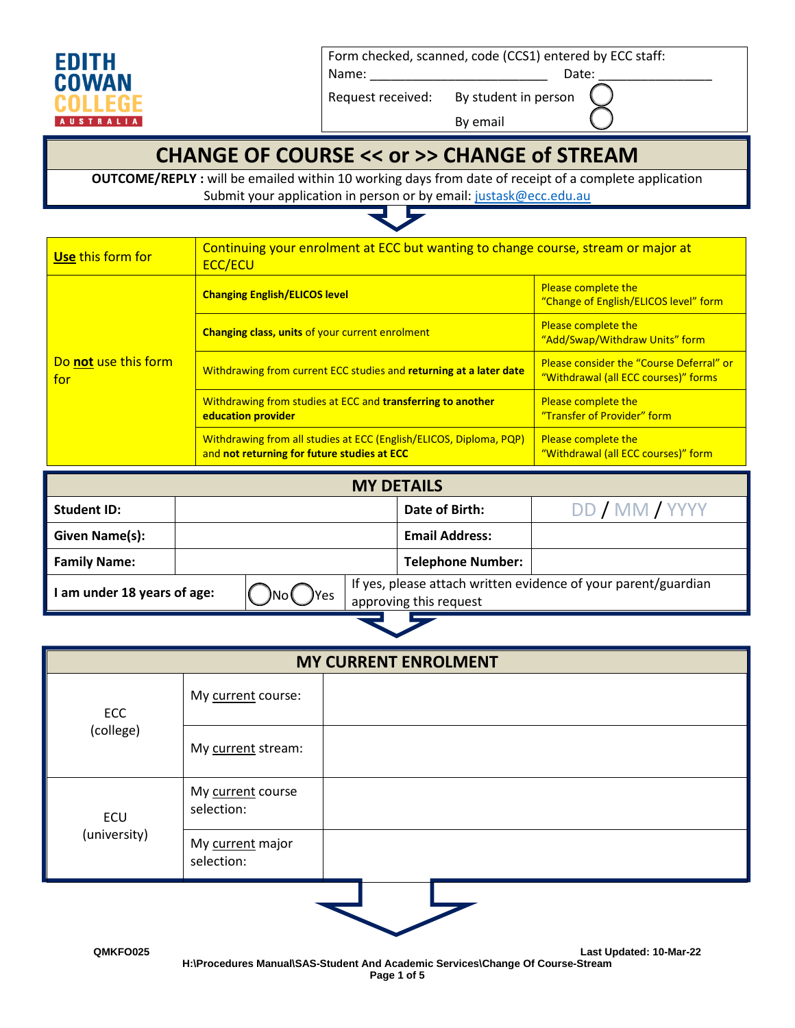

Form checked, scanned, code (CCS1) entered by ECC staff:

Name: \_\_\_\_\_\_\_\_\_\_\_\_\_\_\_\_\_\_\_\_\_\_\_\_\_ Date: \_\_\_\_\_\_\_\_\_\_\_\_\_\_\_\_

Request received: By student in person

By email

### **CHANGE OF COURSE << or >> CHANGE of STREAM**

**OUTCOME/REPLY :** will be emailed within 10 working days from date of receipt of a complete application Submit your application in person or by email[: justask@ecc.edu.au](mailto:justask@ecc.edu.au)



| Use this form for           | Continuing your enrolment at ECC but wanting to change course, stream or major at<br><b>ECC/ECU</b>               |                                                                                  |  |  |
|-----------------------------|-------------------------------------------------------------------------------------------------------------------|----------------------------------------------------------------------------------|--|--|
|                             | <b>Changing English/ELICOS level</b>                                                                              | <b>Please complete the</b><br>"Change of English/ELICOS level" form              |  |  |
|                             | <b>Changing class, units of your current enrolment</b>                                                            | <b>Please complete the</b><br>"Add/Swap/Withdraw Units" form                     |  |  |
| Do not use this form<br>for | Withdrawing from current ECC studies and returning at a later date                                                | Please consider the "Course Deferral" or<br>"Withdrawal (all ECC courses)" forms |  |  |
|                             | Withdrawing from studies at ECC and transferring to another<br>education provider                                 | Please complete the<br>"Transfer of Provider" form                               |  |  |
|                             | Withdrawing from all studies at ECC (English/ELICOS, Diploma, PQP)<br>and not returning for future studies at ECC | <b>Please complete the</b><br>"Withdrawal (all ECC courses)" form                |  |  |

| <b>MY DETAILS</b>         |                                                                                                  |  |  |                          |                |
|---------------------------|--------------------------------------------------------------------------------------------------|--|--|--------------------------|----------------|
| <b>Student ID:</b>        |                                                                                                  |  |  | Date of Birth:           | DD / MM / YYYY |
| Given Name(s):            |                                                                                                  |  |  | <b>Email Address:</b>    |                |
| <b>Family Name:</b>       |                                                                                                  |  |  | <b>Telephone Number:</b> |                |
| am under 18 years of age: | If yes, please attach written evidence of your parent/guardian<br>)Yes<br>approving this request |  |  |                          |                |

| <b>MY CURRENT ENROLMENT</b> |                                 |  |  |  |
|-----------------------------|---------------------------------|--|--|--|
| ECC                         | My current course:              |  |  |  |
| (college)                   | My current stream:              |  |  |  |
| ECU                         | My current course<br>selection: |  |  |  |
| (university)                | My current major<br>selection:  |  |  |  |
|                             |                                 |  |  |  |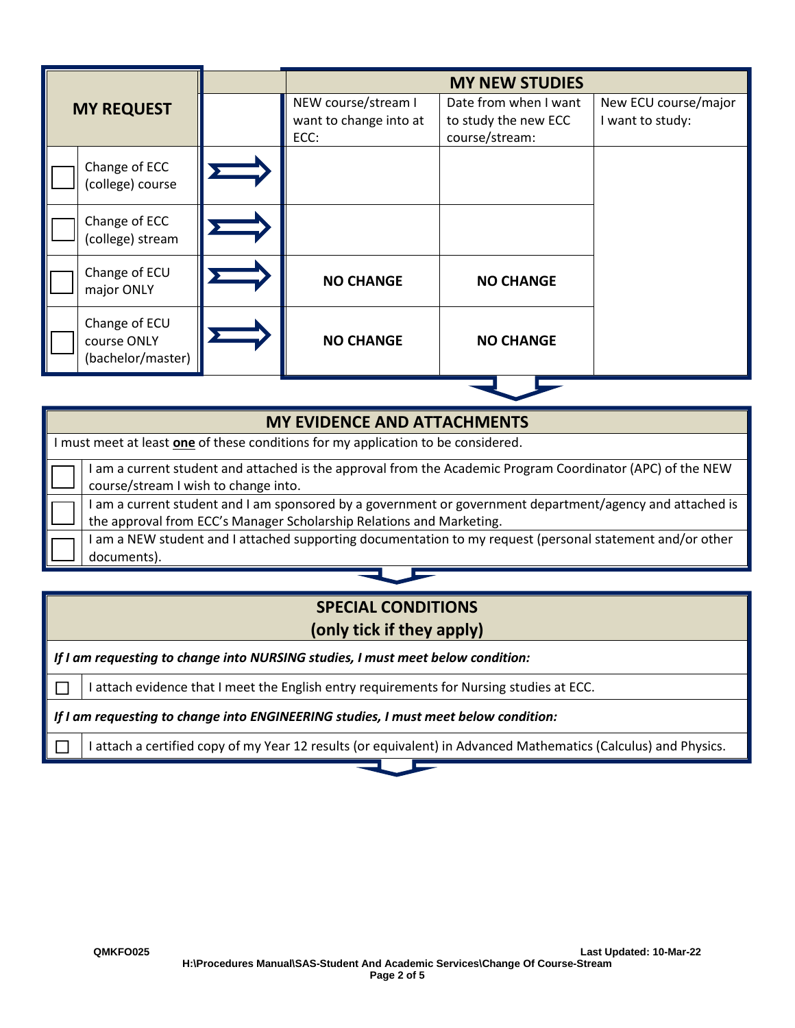|                                                   | <b>MY NEW STUDIES</b>                                 |                                                                 |                                          |  |
|---------------------------------------------------|-------------------------------------------------------|-----------------------------------------------------------------|------------------------------------------|--|
| <b>MY REQUEST</b>                                 | NEW course/stream I<br>want to change into at<br>ECC: | Date from when I want<br>to study the new ECC<br>course/stream: | New ECU course/major<br>I want to study: |  |
| Change of ECC<br>(college) course                 |                                                       |                                                                 |                                          |  |
| Change of ECC<br>(college) stream                 |                                                       |                                                                 |                                          |  |
| Change of ECU<br>major ONLY                       | <b>NO CHANGE</b>                                      | <b>NO CHANGE</b>                                                |                                          |  |
| Change of ECU<br>course ONLY<br>(bachelor/master) | <b>NO CHANGE</b>                                      | <b>NO CHANGE</b>                                                |                                          |  |

| <b>MY EVIDENCE AND ATTACHMENTS</b>                                                |                                                                                                                                                                                   |  |  |  |
|-----------------------------------------------------------------------------------|-----------------------------------------------------------------------------------------------------------------------------------------------------------------------------------|--|--|--|
| I must meet at least one of these conditions for my application to be considered. |                                                                                                                                                                                   |  |  |  |
|                                                                                   | am a current student and attached is the approval from the Academic Program Coordinator (APC) of the NEW<br>course/stream I wish to change into.                                  |  |  |  |
|                                                                                   | I am a current student and I am sponsored by a government or government department/agency and attached is<br>the approval from ECC's Manager Scholarship Relations and Marketing. |  |  |  |
|                                                                                   | I am a NEW student and I attached supporting documentation to my request (personal statement and/or other<br>documents).                                                          |  |  |  |

### **SPECIAL CONDITIONS (only tick if they apply)**

*If I am requesting to change into NURSING studies, I must meet below condition:*

 $\Box$  I attach evidence that I meet the English entry requirements for Nursing studies at ECC.

*If I am requesting to change into ENGINEERING studies, I must meet below condition:*

 $\Box$  I attach a certified copy of my Year 12 results (or equivalent) in Advanced Mathematics (Calculus) and Physics.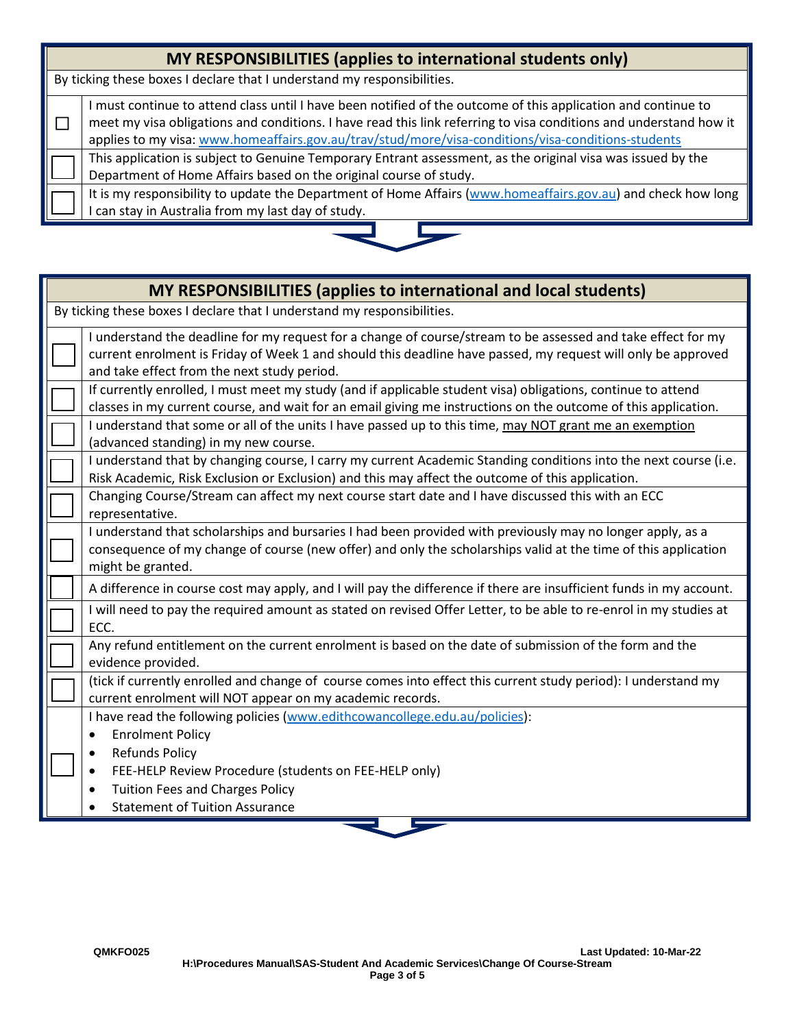| MY RESPONSIBILITIES (applies to international students only)                                                                                                                                                                                                                                                                           |  |  |  |  |
|----------------------------------------------------------------------------------------------------------------------------------------------------------------------------------------------------------------------------------------------------------------------------------------------------------------------------------------|--|--|--|--|
| By ticking these boxes I declare that I understand my responsibilities.                                                                                                                                                                                                                                                                |  |  |  |  |
| must continue to attend class until I have been notified of the outcome of this application and continue to<br>meet my visa obligations and conditions. I have read this link referring to visa conditions and understand how it<br>applies to my visa: www.homeaffairs.gov.au/trav/stud/more/visa-conditions/visa-conditions-students |  |  |  |  |
| This application is subject to Genuine Temporary Entrant assessment, as the original visa was issued by the<br>Department of Home Affairs based on the original course of study.                                                                                                                                                       |  |  |  |  |
| It is my responsibility to update the Department of Home Affairs (www.homeaffairs.gov.au) and check how long<br>I can stay in Australia from my last day of study.                                                                                                                                                                     |  |  |  |  |



| MY RESPONSIBILITIES (applies to international and local students)                                                                                                                                                                                                           |  |  |  |  |
|-----------------------------------------------------------------------------------------------------------------------------------------------------------------------------------------------------------------------------------------------------------------------------|--|--|--|--|
| By ticking these boxes I declare that I understand my responsibilities.                                                                                                                                                                                                     |  |  |  |  |
| I understand the deadline for my request for a change of course/stream to be assessed and take effect for my<br>current enrolment is Friday of Week 1 and should this deadline have passed, my request will only be approved<br>and take effect from the next study period. |  |  |  |  |
| If currently enrolled, I must meet my study (and if applicable student visa) obligations, continue to attend<br>classes in my current course, and wait for an email giving me instructions on the outcome of this application.                                              |  |  |  |  |
| I understand that some or all of the units I have passed up to this time, may NOT grant me an exemption<br>(advanced standing) in my new course.                                                                                                                            |  |  |  |  |
| I understand that by changing course, I carry my current Academic Standing conditions into the next course (i.e.<br>Risk Academic, Risk Exclusion or Exclusion) and this may affect the outcome of this application.                                                        |  |  |  |  |
| Changing Course/Stream can affect my next course start date and I have discussed this with an ECC<br>representative.                                                                                                                                                        |  |  |  |  |
| I understand that scholarships and bursaries I had been provided with previously may no longer apply, as a<br>consequence of my change of course (new offer) and only the scholarships valid at the time of this application<br>might be granted.                           |  |  |  |  |
| A difference in course cost may apply, and I will pay the difference if there are insufficient funds in my account.                                                                                                                                                         |  |  |  |  |
| I will need to pay the required amount as stated on revised Offer Letter, to be able to re-enrol in my studies at<br>ECC.                                                                                                                                                   |  |  |  |  |
| Any refund entitlement on the current enrolment is based on the date of submission of the form and the<br>evidence provided.                                                                                                                                                |  |  |  |  |
| (tick if currently enrolled and change of course comes into effect this current study period): I understand my<br>current enrolment will NOT appear on my academic records.                                                                                                 |  |  |  |  |
| I have read the following policies (www.edithcowancollege.edu.au/policies):<br><b>Enrolment Policy</b><br>$\bullet$<br><b>Refunds Policy</b><br>FEE-HELP Review Procedure (students on FEE-HELP only)<br>$\bullet$                                                          |  |  |  |  |
| <b>Tuition Fees and Charges Policy</b><br>$\bullet$<br><b>Statement of Tuition Assurance</b>                                                                                                                                                                                |  |  |  |  |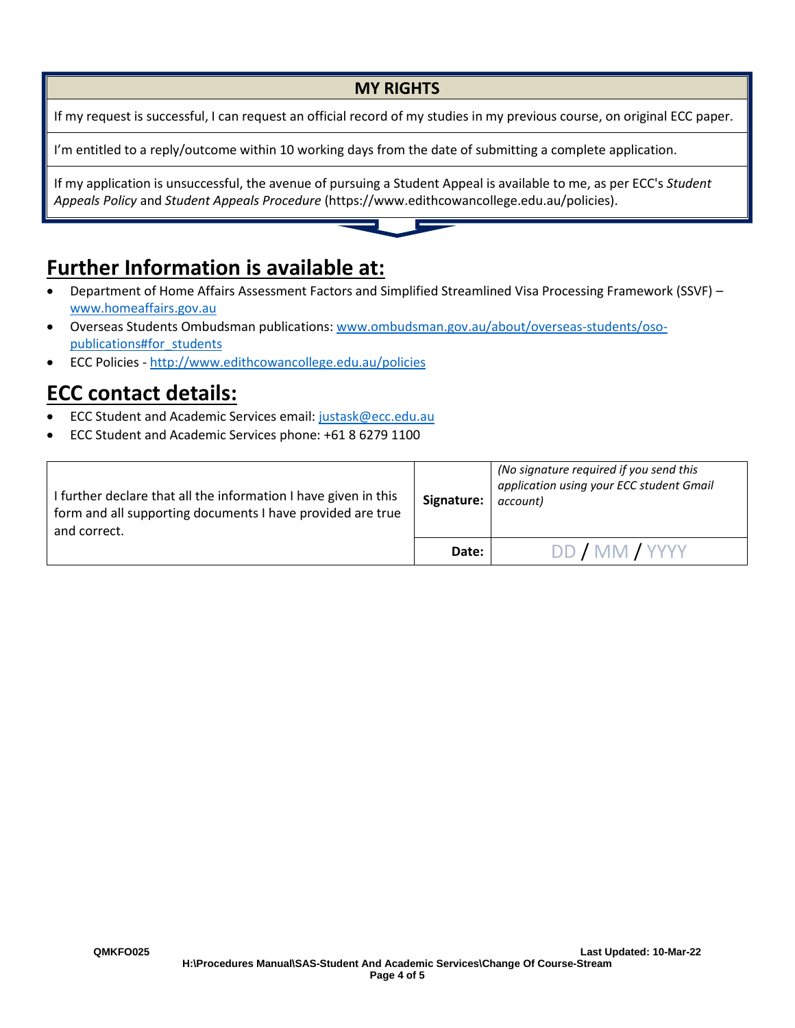#### **MY RIGHTS**

If my request is successful, I can request an official record of my studies in my previous course, on original ECC paper.

I'm entitled to a reply/outcome within 10 working days from the date of submitting a complete application.

If my application is unsuccessful, the avenue of pursuing a Student Appeal is available to me, as per ECC's *Student Appeals Policy* and *Student Appeals Procedure* (https://www.edithcowancollege.edu.au/policies).

# **Further Information is available at:**

- Department of Home Affairs Assessment Factors and Simplified Streamlined Visa Processing Framework (SSVF) [www.homeaffairs.gov.au](http://www.homeaffairs.gov.au/)
- Overseas Students Ombudsman publications: www.ombudsman.gov.au/about/overseas-students/osopublications#for\_students
- ECC Policies <http://www.edithcowancollege.edu.au/policies>

## **ECC contact details:**

- ECC Student and Academic Services email: [justask@ecc.edu.au](mailto:justask@ecc.edu.au)
- ECC Student and Academic Services phone: +61 8 6279 1100

| I further declare that all the information I have given in this<br>form and all supporting documents I have provided are true<br>and correct. | Signature: | (No signature required if you send this<br>application using your ECC student Gmail<br>account) |  |
|-----------------------------------------------------------------------------------------------------------------------------------------------|------------|-------------------------------------------------------------------------------------------------|--|
|                                                                                                                                               | Date:      | DD / MM / YYYY                                                                                  |  |